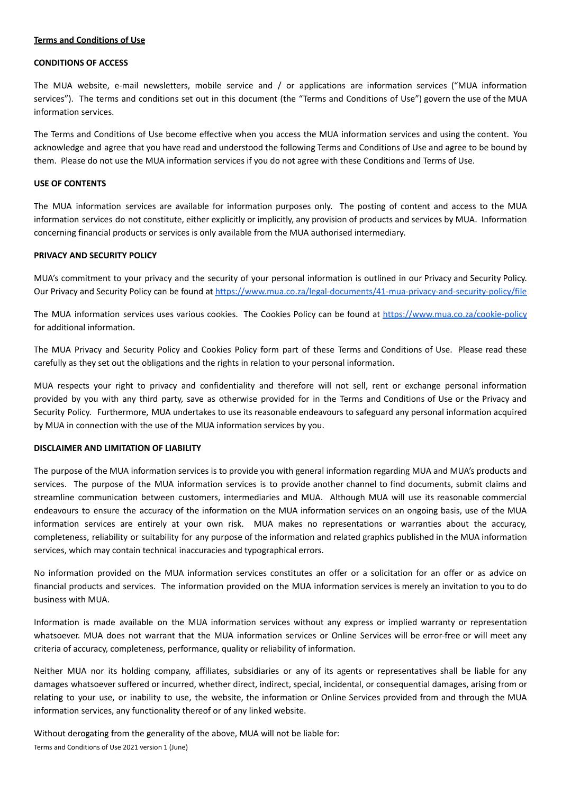#### **Terms and Conditions of Use**

#### **CONDITIONS OF ACCESS**

The MUA website, e-mail newsletters, mobile service and / or applications are information services ("MUA information services"). The terms and conditions set out in this document (the "Terms and Conditions of Use") govern the use of the MUA information services.

The Terms and Conditions of Use become effective when you access the MUA information services and using the content. You acknowledge and agree that you have read and understood the following Terms and Conditions of Use and agree to be bound by them. Please do not use the MUA information services if you do not agree with these Conditions and Terms of Use.

# **USE OF CONTENTS**

The MUA information services are available for information purposes only. The posting of content and access to the MUA information services do not constitute, either explicitly or implicitly, any provision of products and services by MUA. Information concerning financial products or services is only available from the MUA authorised intermediary.

# **PRIVACY AND SECURITY POLICY**

MUA's commitment to your privacy and the security of your personal information is outlined in our Privacy and Security Policy. Our Privacy and Security Policy can be found at <https://www.mua.co.za/legal-documents/41-mua-privacy-and-security-policy/file>

The MUA information services uses various cookies. The Cookies Policy can be found at <https://www.mua.co.za/cookie-policy> for additional information.

The MUA Privacy and Security Policy and Cookies Policy form part of these Terms and Conditions of Use. Please read these carefully as they set out the obligations and the rights in relation to your personal information.

MUA respects your right to privacy and confidentiality and therefore will not sell, rent or exchange personal information provided by you with any third party, save as otherwise provided for in the Terms and Conditions of Use or the Privacy and Security Policy. Furthermore, MUA undertakes to use its reasonable endeavours to safeguard any personal information acquired by MUA in connection with the use of the MUA information services by you.

### **DISCLAIMER AND LIMITATION OF LIABILITY**

The purpose of the MUA information services is to provide you with general information regarding MUA and MUA's products and services. The purpose of the MUA information services is to provide another channel to find documents, submit claims and streamline communication between customers, intermediaries and MUA. Although MUA will use its reasonable commercial endeavours to ensure the accuracy of the information on the MUA information services on an ongoing basis, use of the MUA information services are entirely at your own risk. MUA makes no representations or warranties about the accuracy, completeness, reliability or suitability for any purpose of the information and related graphics published in the MUA information services, which may contain technical inaccuracies and typographical errors.

No information provided on the MUA information services constitutes an offer or a solicitation for an offer or as advice on financial products and services. The information provided on the MUA information services is merely an invitation to you to do business with MUA.

Information is made available on the MUA information services without any express or implied warranty or representation whatsoever. MUA does not warrant that the MUA information services or Online Services will be error-free or will meet any criteria of accuracy, completeness, performance, quality or reliability of information.

Neither MUA nor its holding company, affiliates, subsidiaries or any of its agents or representatives shall be liable for any damages whatsoever suffered or incurred, whether direct, indirect, special, incidental, or consequential damages, arising from or relating to your use, or inability to use, the website, the information or Online Services provided from and through the MUA information services, any functionality thereof or of any linked website.

Without derogating from the generality of the above, MUA will not be liable for: Terms and Conditions of Use 2021 version 1 (June)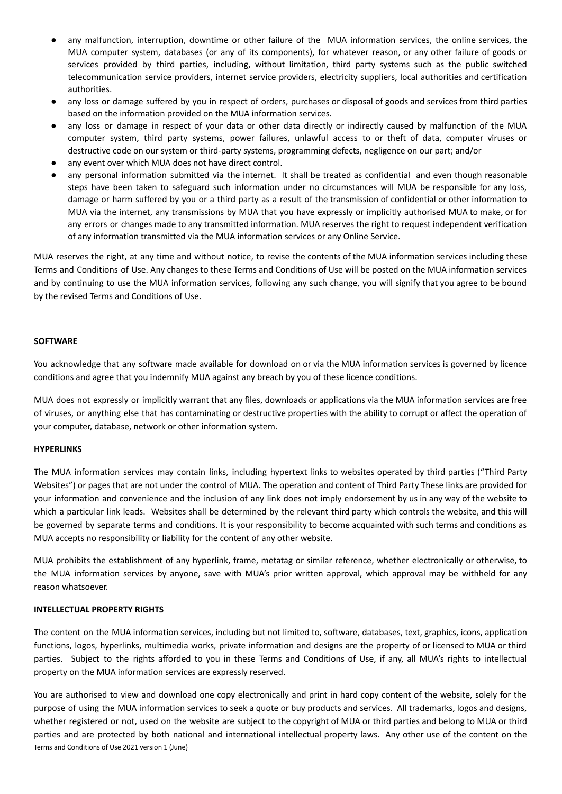- any malfunction, interruption, downtime or other failure of the MUA information services, the online services, the MUA computer system, databases (or any of its components), for whatever reason, or any other failure of goods or services provided by third parties, including, without limitation, third party systems such as the public switched telecommunication service providers, internet service providers, electricity suppliers, local authorities and certification authorities.
- any loss or damage suffered by you in respect of orders, purchases or disposal of goods and services from third parties based on the information provided on the MUA information services.
- any loss or damage in respect of your data or other data directly or indirectly caused by malfunction of the MUA computer system, third party systems, power failures, unlawful access to or theft of data, computer viruses or destructive code on our system or third-party systems, programming defects, negligence on our part; and/or
- any event over which MUA does not have direct control.
- any personal information submitted via the internet. It shall be treated as confidential and even though reasonable steps have been taken to safeguard such information under no circumstances will MUA be responsible for any loss, damage or harm suffered by you or a third party as a result of the transmission of confidential or other information to MUA via the internet, any transmissions by MUA that you have expressly or implicitly authorised MUA to make, or for any errors or changes made to any transmitted information. MUA reserves the right to request independent verification of any information transmitted via the MUA information services or any Online Service.

MUA reserves the right, at any time and without notice, to revise the contents of the MUA information services including these Terms and Conditions of Use. Any changes to these Terms and Conditions of Use will be posted on the MUA information services and by continuing to use the MUA information services, following any such change, you will signify that you agree to be bound by the revised Terms and Conditions of Use.

### **SOFTWARE**

You acknowledge that any software made available for download on or via the MUA information services is governed by licence conditions and agree that you indemnify MUA against any breach by you of these licence conditions.

MUA does not expressly or implicitly warrant that any files, downloads or applications via the MUA information services are free of viruses, or anything else that has contaminating or destructive properties with the ability to corrupt or affect the operation of your computer, database, network or other information system.

# **HYPERLINKS**

The MUA information services may contain links, including hypertext links to websites operated by third parties ("Third Party Websites") or pages that are not under the control of MUA. The operation and content of Third Party These links are provided for your information and convenience and the inclusion of any link does not imply endorsement by us in any way of the website to which a particular link leads. Websites shall be determined by the relevant third party which controls the website, and this will be governed by separate terms and conditions. It is your responsibility to become acquainted with such terms and conditions as MUA accepts no responsibility or liability for the content of any other website.

MUA prohibits the establishment of any hyperlink, frame, metatag or similar reference, whether electronically or otherwise, to the MUA information services by anyone, save with MUA's prior written approval, which approval may be withheld for any reason whatsoever.

#### **INTELLECTUAL PROPERTY RIGHTS**

The content on the MUA information services, including but not limited to, software, databases, text, graphics, icons, application functions, logos, hyperlinks, multimedia works, private information and designs are the property of or licensed to MUA or third parties. Subject to the rights afforded to you in these Terms and Conditions of Use, if any, all MUA's rights to intellectual property on the MUA information services are expressly reserved.

You are authorised to view and download one copy electronically and print in hard copy content of the website, solely for the purpose of using the MUA information services to seek a quote or buy products and services. All trademarks, logos and designs, whether registered or not, used on the website are subject to the copyright of MUA or third parties and belong to MUA or third parties and are protected by both national and international intellectual property laws. Any other use of the content on the Terms and Conditions of Use 2021 version 1 (June)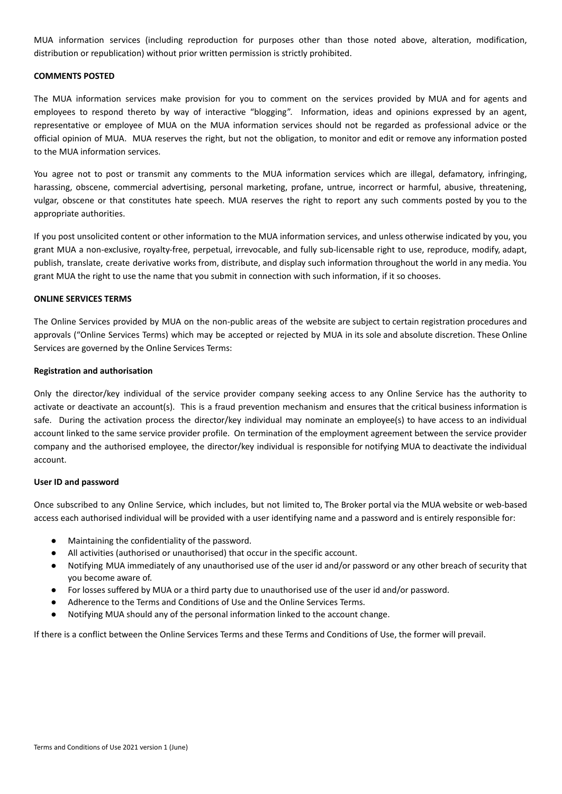MUA information services (including reproduction for purposes other than those noted above, alteration, modification, distribution or republication) without prior written permission is strictly prohibited.

# **COMMENTS POSTED**

The MUA information services make provision for you to comment on the services provided by MUA and for agents and employees to respond thereto by way of interactive "blogging". Information, ideas and opinions expressed by an agent, representative or employee of MUA on the MUA information services should not be regarded as professional advice or the official opinion of MUA. MUA reserves the right, but not the obligation, to monitor and edit or remove any information posted to the MUA information services.

You agree not to post or transmit any comments to the MUA information services which are illegal, defamatory, infringing, harassing, obscene, commercial advertising, personal marketing, profane, untrue, incorrect or harmful, abusive, threatening, vulgar, obscene or that constitutes hate speech. MUA reserves the right to report any such comments posted by you to the appropriate authorities.

If you post unsolicited content or other information to the MUA information services, and unless otherwise indicated by you, you grant MUA a non-exclusive, royalty-free, perpetual, irrevocable, and fully sub-licensable right to use, reproduce, modify, adapt, publish, translate, create derivative works from, distribute, and display such information throughout the world in any media. You grant MUA the right to use the name that you submit in connection with such information, if it so chooses.

#### **ONLINE SERVICES TERMS**

The Online Services provided by MUA on the non-public areas of the website are subject to certain registration procedures and approvals ("Online Services Terms) which may be accepted or rejected by MUA in its sole and absolute discretion. These Online Services are governed by the Online Services Terms:

### **Registration and authorisation**

Only the director/key individual of the service provider company seeking access to any Online Service has the authority to activate or deactivate an account(s). This is a fraud prevention mechanism and ensures that the critical business information is safe. During the activation process the director/key individual may nominate an employee(s) to have access to an individual account linked to the same service provider profile. On termination of the employment agreement between the service provider company and the authorised employee, the director/key individual is responsible for notifying MUA to deactivate the individual account.

#### **User ID and password**

Once subscribed to any Online Service, which includes, but not limited to, The Broker portal via the MUA website or web-based access each authorised individual will be provided with a user identifying name and a password and is entirely responsible for:

- Maintaining the confidentiality of the password.
- All activities (authorised or unauthorised) that occur in the specific account.
- Notifying MUA immediately of any unauthorised use of the user id and/or password or any other breach of security that you become aware of.
- For losses suffered by MUA or a third party due to unauthorised use of the user id and/or password.
- Adherence to the Terms and Conditions of Use and the Online Services Terms.
- Notifying MUA should any of the personal information linked to the account change.

If there is a conflict between the Online Services Terms and these Terms and Conditions of Use, the former will prevail.